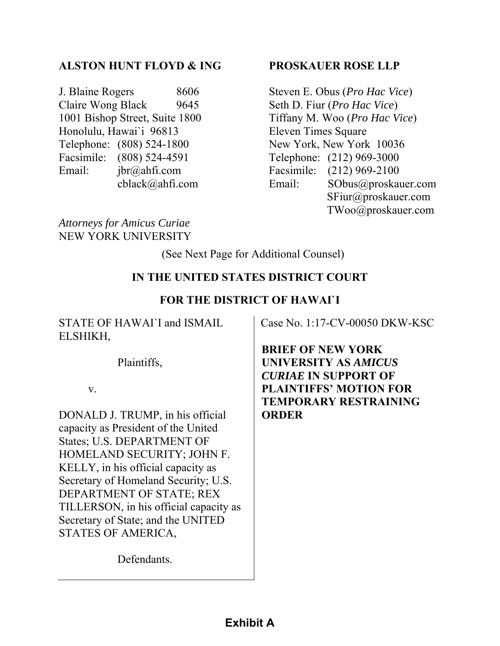### **ALSTON HUNT FLOYD & ING**

J. Blaine Rogers 8606 Claire Wong Black 9645 1001 Bishop Street, Suite 1800 Honolulu, Hawai`i 96813 Telephone: (808) 524-1800 Facsimile: (808) 524-4591 Email: jbr@ahfi.com cblack@ahfi.com

#### **PROSKAUER ROSE LLP**

Steven E. Obus (*Pro Hac Vice*) Seth D. Fiur (*Pro Hac Vice*) Tiffany M. Woo (*Pro Hac Vice*) Eleven Times Square New York, New York 10036 Telephone: (212) 969-3000 Facsimile: (212) 969-2100 Email: SObus@proskauer.com SFiur@proskauer.com TWoo@proskauer.com

*Attorneys for Amicus Curiae*  NEW YORK UNIVERSITY

(See Next Page for Additional Counsel)

#### **IN THE UNITED STATES DISTRICT COURT**

#### **FOR THE DISTRICT OF HAWAI`I**

STATE OF HAWAI`I and ISMAIL ELSHIKH,

Case No. 1:17-CV-00050 DKW-KSC

Plaintiffs,

v.

DONALD J. TRUMP, in his official capacity as President of the United States; U.S. DEPARTMENT OF HOMELAND SECURITY; JOHN F. KELLY, in his official capacity as Secretary of Homeland Security; U.S. DEPARTMENT OF STATE; REX TILLERSON, in his official capacity as Secretary of State; and the UNITED STATES OF AMERICA,

**BRIEF OF NEW YORK UNIVERSITY AS** *AMICUS CURIAE* **IN SUPPORT OF PLAINTIFFS' MOTION FOR TEMPORARY RESTRAINING ORDER** 

Defendants.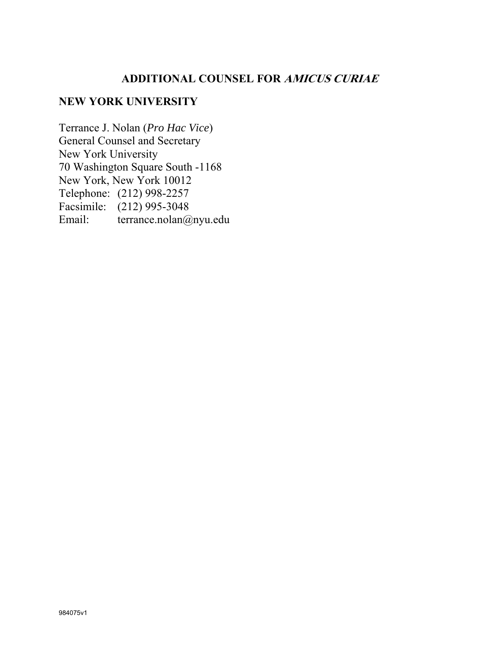# **ADDITIONAL COUNSEL FOR AMICUS CURIAE**

## **NEW YORK UNIVERSITY**

Terrance J. Nolan (*Pro Hac Vice*) General Counsel and Secretary New York University 70 Washington Square South -1168 New York, New York 10012 Telephone: (212) 998-2257 Facsimile: (212) 995-3048 Email: terrance.nolan@nyu.edu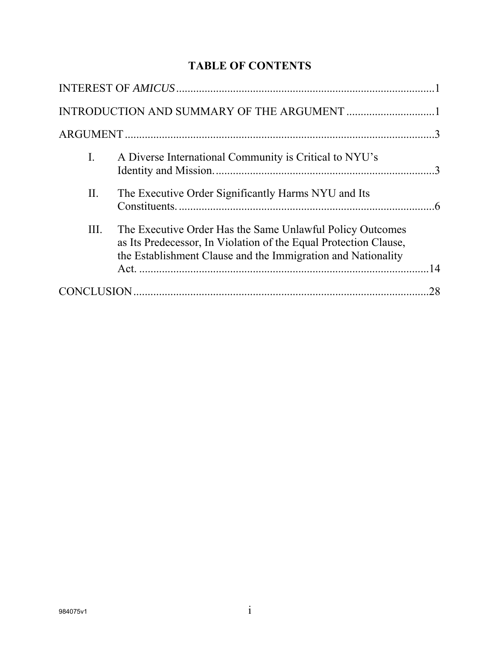# **TABLE OF CONTENTS**

| $\mathbf{I}$ . | A Diverse International Community is Critical to NYU's                                                                                                                                        |  |
|----------------|-----------------------------------------------------------------------------------------------------------------------------------------------------------------------------------------------|--|
| II.            | The Executive Order Significantly Harms NYU and Its                                                                                                                                           |  |
| III.           | The Executive Order Has the Same Unlawful Policy Outcomes<br>as Its Predecessor, In Violation of the Equal Protection Clause,<br>the Establishment Clause and the Immigration and Nationality |  |
|                |                                                                                                                                                                                               |  |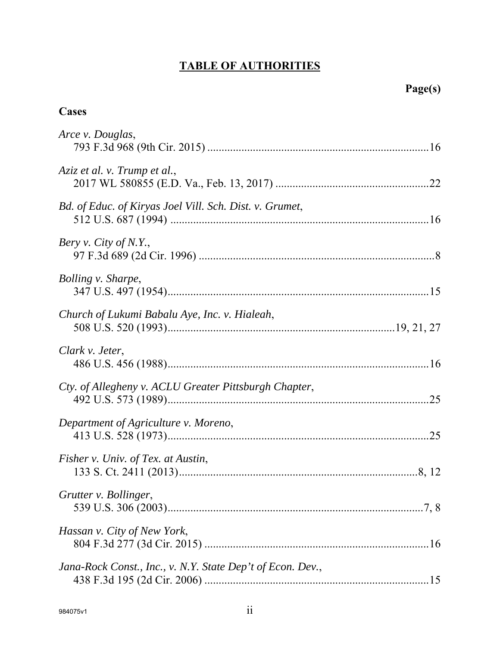# **TABLE OF AUTHORITIES**

# **Cases**

| Arce v. Douglas,                                           |
|------------------------------------------------------------|
| Aziz et al. v. Trump et al.,                               |
| Bd. of Educ. of Kiryas Joel Vill. Sch. Dist. v. Grumet,    |
| Bery v. City of N.Y.,                                      |
| Bolling v. Sharpe,                                         |
| Church of Lukumi Babalu Aye, Inc. v. Hialeah,              |
| Clark v. Jeter,                                            |
| Cty. of Allegheny v. ACLU Greater Pittsburgh Chapter,      |
| Department of Agriculture v. Moreno,                       |
| Fisher v. Univ. of Tex. at Austin,                         |
| Grutter v. Bollinger,                                      |
| Hassan v. City of New York,                                |
| Jana-Rock Const., Inc., v. N.Y. State Dep't of Econ. Dev., |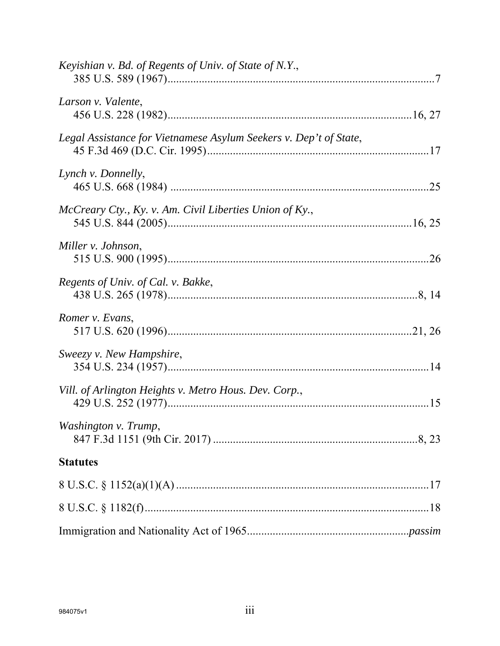| Keyishian v. Bd. of Regents of Univ. of State of N.Y.,            |  |
|-------------------------------------------------------------------|--|
| Larson v. Valente,                                                |  |
| Legal Assistance for Vietnamese Asylum Seekers v. Dep't of State, |  |
| Lynch v. Donnelly,                                                |  |
| McCreary Cty., Ky. v. Am. Civil Liberties Union of Ky.,           |  |
| Miller v. Johnson,                                                |  |
| Regents of Univ. of Cal. v. Bakke,                                |  |
| Romer v. Evans,                                                   |  |
| Sweezy v. New Hampshire,                                          |  |
| Vill. of Arlington Heights v. Metro Hous. Dev. Corp.,             |  |
| Washington v. Trump,                                              |  |
| <b>Statutes</b>                                                   |  |
|                                                                   |  |
|                                                                   |  |
|                                                                   |  |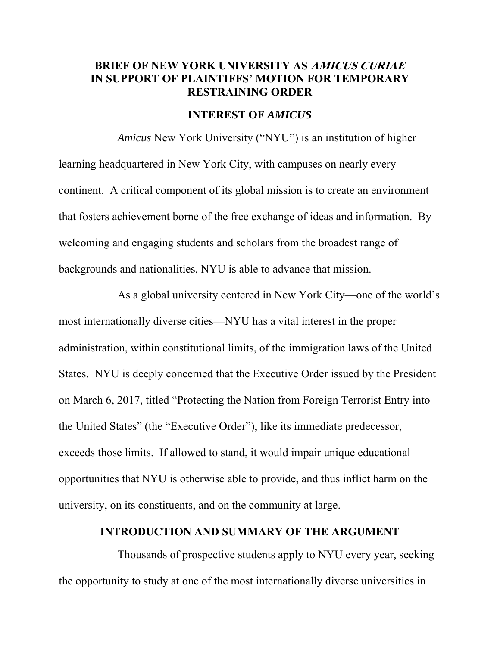#### **BRIEF OF NEW YORK UNIVERSITY AS AMICUS CURIAE IN SUPPORT OF PLAINTIFFS' MOTION FOR TEMPORARY RESTRAINING ORDER**

#### **INTEREST OF** *AMICUS*

*Amicus* New York University ("NYU") is an institution of higher learning headquartered in New York City, with campuses on nearly every continent. A critical component of its global mission is to create an environment that fosters achievement borne of the free exchange of ideas and information. By welcoming and engaging students and scholars from the broadest range of backgrounds and nationalities, NYU is able to advance that mission.

As a global university centered in New York City—one of the world's most internationally diverse cities—NYU has a vital interest in the proper administration, within constitutional limits, of the immigration laws of the United States. NYU is deeply concerned that the Executive Order issued by the President on March 6, 2017, titled "Protecting the Nation from Foreign Terrorist Entry into the United States" (the "Executive Order"), like its immediate predecessor, exceeds those limits. If allowed to stand, it would impair unique educational opportunities that NYU is otherwise able to provide, and thus inflict harm on the university, on its constituents, and on the community at large.

#### **INTRODUCTION AND SUMMARY OF THE ARGUMENT**

Thousands of prospective students apply to NYU every year, seeking the opportunity to study at one of the most internationally diverse universities in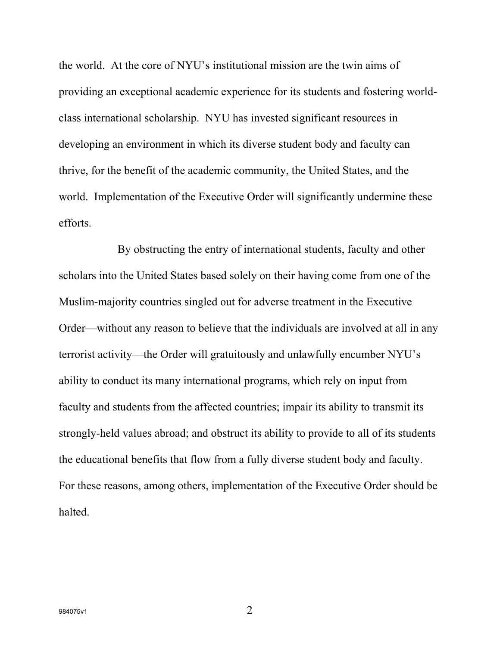the world. At the core of NYU's institutional mission are the twin aims of providing an exceptional academic experience for its students and fostering worldclass international scholarship. NYU has invested significant resources in developing an environment in which its diverse student body and faculty can thrive, for the benefit of the academic community, the United States, and the world. Implementation of the Executive Order will significantly undermine these efforts.

By obstructing the entry of international students, faculty and other scholars into the United States based solely on their having come from one of the Muslim-majority countries singled out for adverse treatment in the Executive Order—without any reason to believe that the individuals are involved at all in any terrorist activity—the Order will gratuitously and unlawfully encumber NYU's ability to conduct its many international programs, which rely on input from faculty and students from the affected countries; impair its ability to transmit its strongly-held values abroad; and obstruct its ability to provide to all of its students the educational benefits that flow from a fully diverse student body and faculty. For these reasons, among others, implementation of the Executive Order should be halted.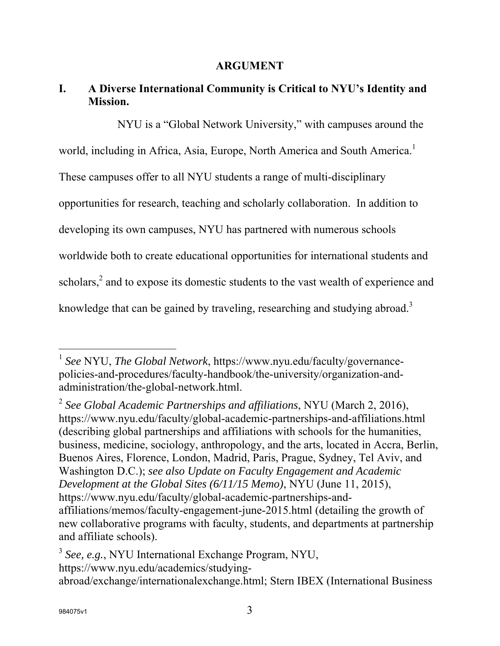#### **ARGUMENT**

# **I. A Diverse International Community is Critical to NYU's Identity and Mission.**

NYU is a "Global Network University," with campuses around the world, including in Africa, Asia, Europe, North America and South America.<sup>1</sup> These campuses offer to all NYU students a range of multi-disciplinary opportunities for research, teaching and scholarly collaboration. In addition to developing its own campuses, NYU has partnered with numerous schools worldwide both to create educational opportunities for international students and scholars, $^2$  and to expose its domestic students to the vast wealth of experience and knowledge that can be gained by traveling, researching and studying abroad.<sup>3</sup>

2  *See Global Academic Partnerships and affiliations*, NYU (March 2, 2016), https://www.nyu.edu/faculty/global-academic-partnerships-and-affiliations.html (describing global partnerships and affiliations with schools for the humanities, business, medicine, sociology, anthropology, and the arts, located in Accra, Berlin, Buenos Aires, Florence, London, Madrid, Paris, Prague, Sydney, Tel Aviv, and Washington D.C.); *see also Update on Faculty Engagement and Academic Development at the Global Sites (6/11/15 Memo)*, NYU (June 11, 2015), https://www.nyu.edu/faculty/global-academic-partnerships-andaffiliations/memos/faculty-engagement-june-2015.html (detailing the growth of new collaborative programs with faculty, students, and departments at partnership and affiliate schools).

<sup>3</sup> *See, e.g.*, NYU International Exchange Program, NYU, https://www.nyu.edu/academics/studyingabroad/exchange/internationalexchange.html; Stern IBEX (International Business

<sup>1</sup> *See* NYU, *The Global Network*, https://www.nyu.edu/faculty/governancepolicies-and-procedures/faculty-handbook/the-university/organization-andadministration/the-global-network.html.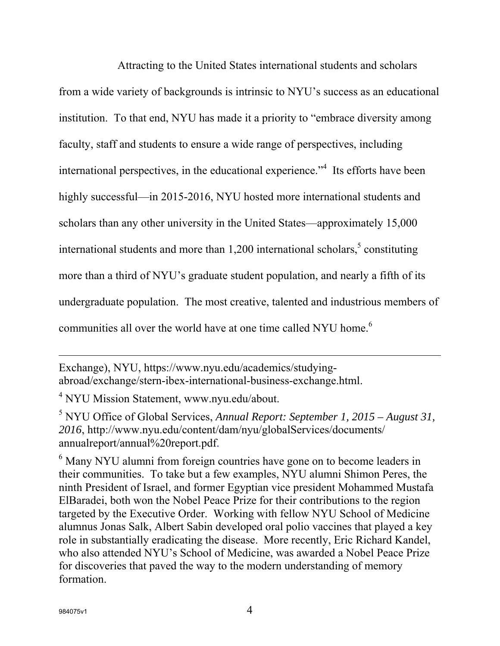Attracting to the United States international students and scholars from a wide variety of backgrounds is intrinsic to NYU's success as an educational institution. To that end, NYU has made it a priority to "embrace diversity among faculty, staff and students to ensure a wide range of perspectives, including international perspectives, in the educational experience."<sup>4</sup> Its efforts have been highly successful—in 2015-2016, NYU hosted more international students and scholars than any other university in the United States—approximately 15,000 international students and more than  $1,200$  international scholars,<sup>5</sup> constituting more than a third of NYU's graduate student population, and nearly a fifth of its undergraduate population. The most creative, talented and industrious members of communities all over the world have at one time called NYU home.<sup>6</sup>

Exchange), NYU, https://www.nyu.edu/academics/studyingabroad/exchange/stern-ibex-international-business-exchange.html.

<sup>4</sup> NYU Mission Statement, www.nyu.edu/about.

5 NYU Office of Global Services, *Annual Report: September 1, 2015 – August 31, 2016*, http://www.nyu.edu/content/dam/nyu/globalServices/documents/ annualreport/annual%20report.pdf.

 $<sup>6</sup>$  Many NYU alumni from foreign countries have gone on to become leaders in</sup> their communities. To take but a few examples, NYU alumni Shimon Peres, the ninth President of Israel, and former Egyptian vice president Mohammed Mustafa ElBaradei, both won the Nobel Peace Prize for their contributions to the region targeted by the Executive Order. Working with fellow NYU School of Medicine alumnus Jonas Salk, Albert Sabin developed oral polio vaccines that played a key role in substantially eradicating the disease. More recently, Eric Richard Kandel, who also attended NYU's School of Medicine, was awarded a Nobel Peace Prize for discoveries that paved the way to the modern understanding of memory formation.

l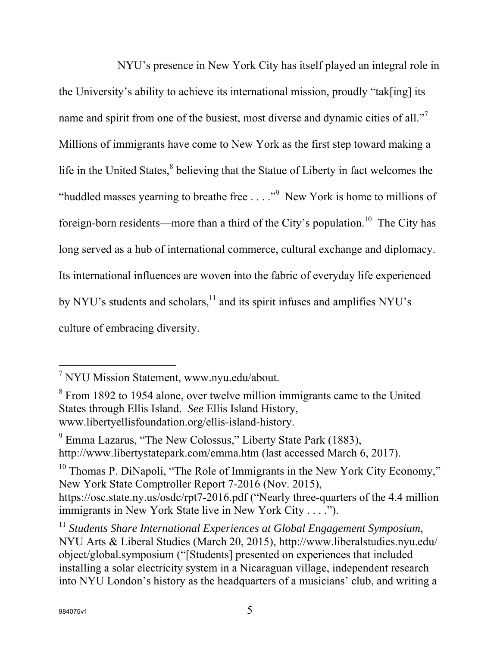NYU's presence in New York City has itself played an integral role in the University's ability to achieve its international mission, proudly "tak[ing] its name and spirit from one of the busiest, most diverse and dynamic cities of all."<sup>7</sup> Millions of immigrants have come to New York as the first step toward making a life in the United States,<sup>8</sup> believing that the Statue of Liberty in fact welcomes the "huddled masses yearning to breathe free  $\dots$ ."<sup>9</sup> New York is home to millions of foreign-born residents—more than a third of the City's population.<sup>10</sup> The City has long served as a hub of international commerce, cultural exchange and diplomacy. Its international influences are woven into the fabric of everyday life experienced by NYU's students and scholars,<sup>11</sup> and its spirit infuses and amplifies NYU's culture of embracing diversity.

 $10$  Thomas P. DiNapoli, "The Role of Immigrants in the New York City Economy," New York State Comptroller Report 7-2016 (Nov. 2015), https://osc.state.ny.us/osdc/rpt7-2016.pdf ("Nearly three-quarters of the 4.4 million immigrants in New York State live in New York City . . . .").

<sup>&</sup>lt;sup>7</sup> NYU Mission Statement, www.nyu.edu/about.

<sup>&</sup>lt;sup>8</sup> From 1892 to 1954 alone, over twelve million immigrants came to the United States through Ellis Island. *See* Ellis Island History, www.libertyellisfoundation.org/ellis-island-history.

<sup>&</sup>lt;sup>9</sup> Emma Lazarus, "The New Colossus," Liberty State Park (1883), http://www.libertystatepark.com/emma.htm (last accessed March 6, 2017).

<sup>&</sup>lt;sup>11</sup> Students Share International Experiences at Global Engagement Symposium, NYU Arts & Liberal Studies (March 20, 2015), http://www.liberalstudies.nyu.edu/ object/global.symposium ("[Students] presented on experiences that included installing a solar electricity system in a Nicaraguan village, independent research into NYU London's history as the headquarters of a musicians' club, and writing a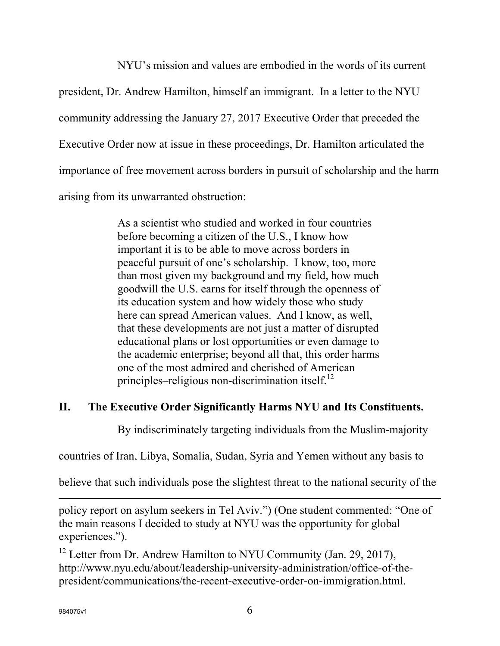NYU's mission and values are embodied in the words of its current

president, Dr. Andrew Hamilton, himself an immigrant. In a letter to the NYU

community addressing the January 27, 2017 Executive Order that preceded the

Executive Order now at issue in these proceedings, Dr. Hamilton articulated the

importance of free movement across borders in pursuit of scholarship and the harm

arising from its unwarranted obstruction:

As a scientist who studied and worked in four countries before becoming a citizen of the U.S., I know how important it is to be able to move across borders in peaceful pursuit of one's scholarship. I know, too, more than most given my background and my field, how much goodwill the U.S. earns for itself through the openness of its education system and how widely those who study here can spread American values. And I know, as well, that these developments are not just a matter of disrupted educational plans or lost opportunities or even damage to the academic enterprise; beyond all that, this order harms one of the most admired and cherished of American principles–religious non-discrimination itself. $^{12}$ 

# **II. The Executive Order Significantly Harms NYU and Its Constituents.**

By indiscriminately targeting individuals from the Muslim-majority

countries of Iran, Libya, Somalia, Sudan, Syria and Yemen without any basis to

believe that such individuals pose the slightest threat to the national security of the

policy report on asylum seekers in Tel Aviv.") (One student commented: "One of the main reasons I decided to study at NYU was the opportunity for global experiences.").

 $12$  Letter from Dr. Andrew Hamilton to NYU Community (Jan. 29, 2017), http://www.nyu.edu/about/leadership-university-administration/office-of-thepresident/communications/the-recent-executive-order-on-immigration.html.

l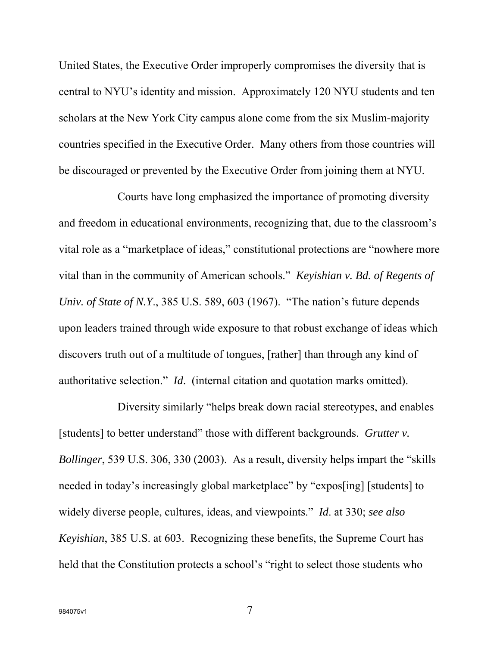United States, the Executive Order improperly compromises the diversity that is central to NYU's identity and mission. Approximately 120 NYU students and ten scholars at the New York City campus alone come from the six Muslim-majority countries specified in the Executive Order. Many others from those countries will be discouraged or prevented by the Executive Order from joining them at NYU.

Courts have long emphasized the importance of promoting diversity and freedom in educational environments, recognizing that, due to the classroom's vital role as a "marketplace of ideas," constitutional protections are "nowhere more vital than in the community of American schools." *Keyishian v. Bd. of Regents of Univ. of State of N.Y*., 385 U.S. 589, 603 (1967). "The nation's future depends upon leaders trained through wide exposure to that robust exchange of ideas which discovers truth out of a multitude of tongues, [rather] than through any kind of authoritative selection." *Id*. (internal citation and quotation marks omitted).

Diversity similarly "helps break down racial stereotypes, and enables [students] to better understand" those with different backgrounds. *Grutter v*. *Bollinger*, 539 U.S. 306, 330 (2003). As a result, diversity helps impart the "skills needed in today's increasingly global marketplace" by "expos[ing] [students] to widely diverse people, cultures, ideas, and viewpoints." *Id*. at 330; *see also Keyishian*, 385 U.S. at 603. Recognizing these benefits, the Supreme Court has held that the Constitution protects a school's "right to select those students who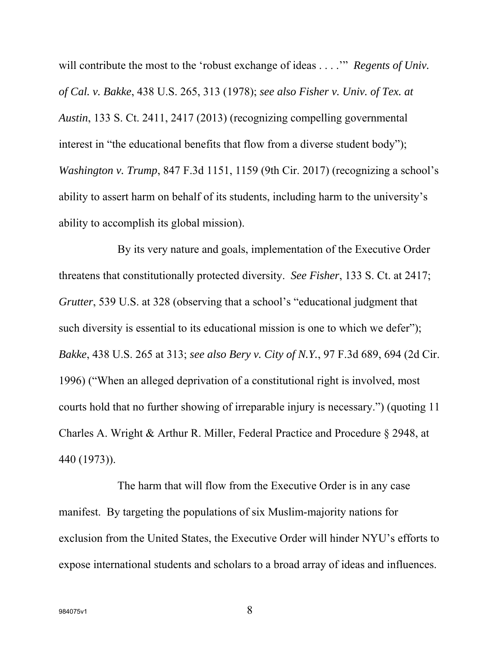will contribute the most to the 'robust exchange of ideas . . . .'" *Regents of Univ. of Cal. v. Bakke*, 438 U.S. 265, 313 (1978); *see also Fisher v. Univ. of Tex. at Austin*, 133 S. Ct. 2411, 2417 (2013) (recognizing compelling governmental interest in "the educational benefits that flow from a diverse student body"); *Washington v. Trump*, 847 F.3d 1151, 1159 (9th Cir. 2017) (recognizing a school's ability to assert harm on behalf of its students, including harm to the university's ability to accomplish its global mission).

By its very nature and goals, implementation of the Executive Order threatens that constitutionally protected diversity. *See Fisher*, 133 S. Ct. at 2417; *Grutter*, 539 U.S. at 328 (observing that a school's "educational judgment that such diversity is essential to its educational mission is one to which we defer"); *Bakke*, 438 U.S. 265 at 313; *see also Bery v. City of N.Y.*, 97 F.3d 689, 694 (2d Cir. 1996) ("When an alleged deprivation of a constitutional right is involved, most courts hold that no further showing of irreparable injury is necessary.") (quoting 11 Charles A. Wright & Arthur R. Miller, Federal Practice and Procedure § 2948, at 440 (1973)).

The harm that will flow from the Executive Order is in any case manifest. By targeting the populations of six Muslim-majority nations for exclusion from the United States, the Executive Order will hinder NYU's efforts to expose international students and scholars to a broad array of ideas and influences.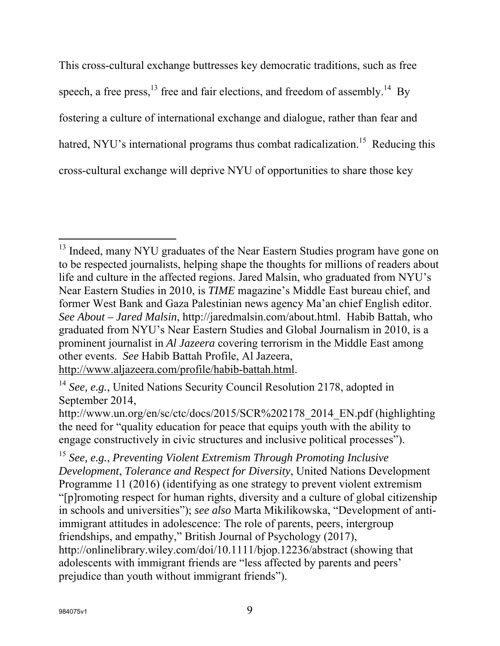This cross-cultural exchange buttresses key democratic traditions, such as free speech, a free press,  $^{13}$  free and fair elections, and freedom of assembly.<sup>14</sup> By fostering a culture of international exchange and dialogue, rather than fear and hatred, NYU's international programs thus combat radicalization.<sup>15</sup> Reducing this cross-cultural exchange will deprive NYU of opportunities to share those key

<sup>&</sup>lt;sup>13</sup> Indeed, many NYU graduates of the Near Eastern Studies program have gone on to be respected journalists, helping shape the thoughts for millions of readers about life and culture in the affected regions. Jared Malsin, who graduated from NYU's Near Eastern Studies in 2010, is *TIME* magazine's Middle East bureau chief, and former West Bank and Gaza Palestinian news agency Ma'an chief English editor. *See About – Jared Malsin*, http://jaredmalsin.com/about.html. Habib Battah, who graduated from NYU's Near Eastern Studies and Global Journalism in 2010, is a prominent journalist in *Al Jazeera* covering terrorism in the Middle East among other events. *See* Habib Battah Profile, Al Jazeera,

http://www.aljazeera.com/profile/habib-battah.html.

<sup>&</sup>lt;sup>14</sup> See, e.g., United Nations Security Council Resolution 2178, adopted in September 2014,

http://www.un.org/en/sc/ctc/docs/2015/SCR%202178\_2014\_EN.pdf (highlighting the need for "quality education for peace that equips youth with the ability to engage constructively in civic structures and inclusive political processes").

<sup>15</sup> *See, e.g.*, *Preventing Violent Extremism Through Promoting Inclusive Development*, *Tolerance and Respect for Diversity*, United Nations Development Programme 11 (2016) (identifying as one strategy to prevent violent extremism "[p]romoting respect for human rights, diversity and a culture of global citizenship in schools and universities"); *see also* Marta Mikilikowska, "Development of antiimmigrant attitudes in adolescence: The role of parents, peers, intergroup friendships, and empathy," British Journal of Psychology (2017), http://onlinelibrary.wiley.com/doi/10.1111/bjop.12236/abstract (showing that adolescents with immigrant friends are "less affected by parents and peers' prejudice than youth without immigrant friends").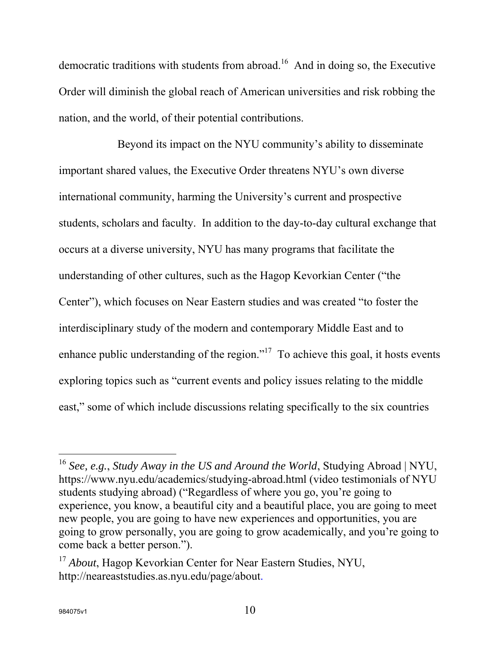democratic traditions with students from abroad.<sup>16</sup> And in doing so, the Executive Order will diminish the global reach of American universities and risk robbing the nation, and the world, of their potential contributions.

Beyond its impact on the NYU community's ability to disseminate important shared values, the Executive Order threatens NYU's own diverse international community, harming the University's current and prospective students, scholars and faculty. In addition to the day-to-day cultural exchange that occurs at a diverse university, NYU has many programs that facilitate the understanding of other cultures, such as the Hagop Kevorkian Center ("the Center"), which focuses on Near Eastern studies and was created "to foster the interdisciplinary study of the modern and contemporary Middle East and to enhance public understanding of the region."<sup>17</sup> To achieve this goal, it hosts events exploring topics such as "current events and policy issues relating to the middle east," some of which include discussions relating specifically to the six countries

<sup>16</sup> *See, e.g.*, *Study Away in the US and Around the World*, Studying Abroad | NYU, https://www.nyu.edu/academics/studying-abroad.html (video testimonials of NYU students studying abroad) ("Regardless of where you go, you're going to experience, you know, a beautiful city and a beautiful place, you are going to meet new people, you are going to have new experiences and opportunities, you are going to grow personally, you are going to grow academically, and you're going to come back a better person.").

<sup>17</sup> *About*, Hagop Kevorkian Center for Near Eastern Studies, NYU, http://neareaststudies.as.nyu.edu/page/about.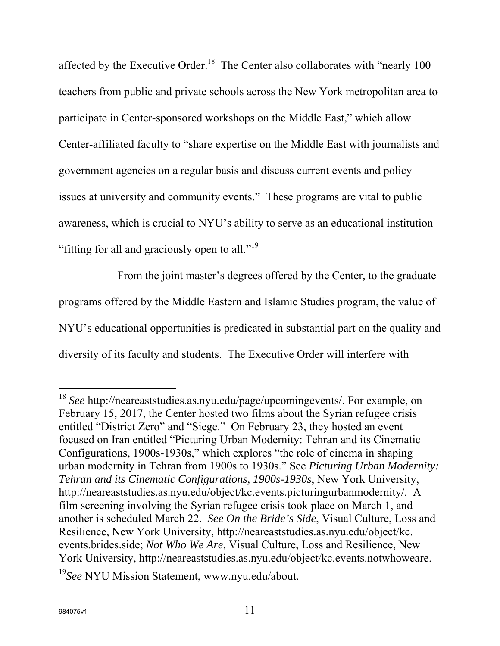affected by the Executive Order.<sup>18</sup> The Center also collaborates with "nearly 100 teachers from public and private schools across the New York metropolitan area to participate in Center-sponsored workshops on the Middle East," which allow Center-affiliated faculty to "share expertise on the Middle East with journalists and government agencies on a regular basis and discuss current events and policy issues at university and community events." These programs are vital to public awareness, which is crucial to NYU's ability to serve as an educational institution "fitting for all and graciously open to all."<sup>19</sup>

From the joint master's degrees offered by the Center, to the graduate programs offered by the Middle Eastern and Islamic Studies program, the value of NYU's educational opportunities is predicated in substantial part on the quality and diversity of its faculty and students. The Executive Order will interfere with

<sup>18</sup> *See* http://neareaststudies.as.nyu.edu/page/upcomingevents/. For example, on February 15, 2017, the Center hosted two films about the Syrian refugee crisis entitled "District Zero" and "Siege." On February 23, they hosted an event focused on Iran entitled "Picturing Urban Modernity: Tehran and its Cinematic Configurations, 1900s-1930s," which explores "the role of cinema in shaping urban modernity in Tehran from 1900s to 1930s." See *Picturing Urban Modernity: Tehran and its Cinematic Configurations, 1900s-1930s*, New York University, http://neareaststudies.as.nyu.edu/object/kc.events.picturingurbanmodernity/. A film screening involving the Syrian refugee crisis took place on March 1, and another is scheduled March 22. *See On the Bride's Side*, Visual Culture, Loss and Resilience, New York University, http://neareaststudies.as.nyu.edu/object/kc. events.brides.side; *Not Who We Are*, Visual Culture, Loss and Resilience, New York University, http://neareaststudies.as.nyu.edu/object/kc.events.notwhoweare.

<sup>19</sup>*See* NYU Mission Statement, www.nyu.edu/about.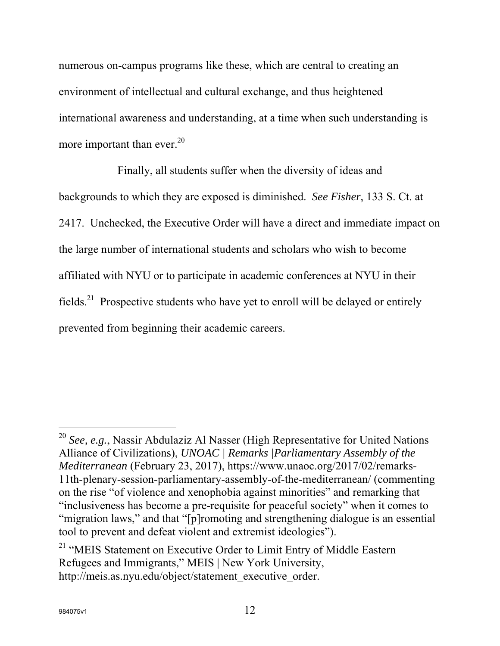numerous on-campus programs like these, which are central to creating an environment of intellectual and cultural exchange, and thus heightened international awareness and understanding, at a time when such understanding is more important than ever. $^{20}$ 

Finally, all students suffer when the diversity of ideas and backgrounds to which they are exposed is diminished. *See Fisher*, 133 S. Ct. at 2417. Unchecked, the Executive Order will have a direct and immediate impact on the large number of international students and scholars who wish to become affiliated with NYU or to participate in academic conferences at NYU in their fields.<sup>21</sup> Prospective students who have yet to enroll will be delayed or entirely prevented from beginning their academic careers.

<sup>20</sup> *See, e.g.*, Nassir Abdulaziz Al Nasser (High Representative for United Nations Alliance of Civilizations), *UNOAC | Remarks |Parliamentary Assembly of the Mediterranean* (February 23, 2017), https://www.unaoc.org/2017/02/remarks-11th-plenary-session-parliamentary-assembly-of-the-mediterranean/ (commenting on the rise "of violence and xenophobia against minorities" and remarking that "inclusiveness has become a pre-requisite for peaceful society" when it comes to "migration laws," and that "[p]romoting and strengthening dialogue is an essential tool to prevent and defeat violent and extremist ideologies").

<sup>&</sup>lt;sup>21</sup> "MEIS Statement on Executive Order to Limit Entry of Middle Eastern Refugees and Immigrants," MEIS | New York University, http://meis.as.nyu.edu/object/statement\_executive\_order.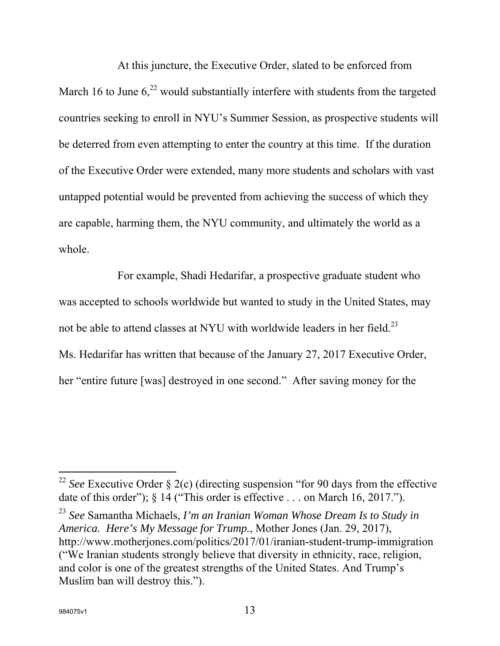At this juncture, the Executive Order, slated to be enforced from March 16 to June  $6<sub>1</sub><sup>22</sup>$  would substantially interfere with students from the targeted countries seeking to enroll in NYU's Summer Session, as prospective students will be deterred from even attempting to enter the country at this time. If the duration of the Executive Order were extended, many more students and scholars with vast untapped potential would be prevented from achieving the success of which they are capable, harming them, the NYU community, and ultimately the world as a whole.

For example, Shadi Hedarifar, a prospective graduate student who was accepted to schools worldwide but wanted to study in the United States, may not be able to attend classes at NYU with worldwide leaders in her field.<sup>23</sup> Ms. Hedarifar has written that because of the January 27, 2017 Executive Order, her "entire future [was] destroyed in one second." After saving money for the

l

<sup>&</sup>lt;sup>22</sup> *See* Executive Order § 2(c) (directing suspension "for 90 days from the effective date of this order"); § 14 ("This order is effective . . . on March 16, 2017.").

<sup>23</sup> *See* Samantha Michaels, *I'm an Iranian Woman Whose Dream Is to Study in America. Here's My Message for Trump.*, Mother Jones (Jan. 29, 2017), http://www.motherjones.com/politics/2017/01/iranian-student-trump-immigration ("We Iranian students strongly believe that diversity in ethnicity, race, religion, and color is one of the greatest strengths of the United States. And Trump's Muslim ban will destroy this.").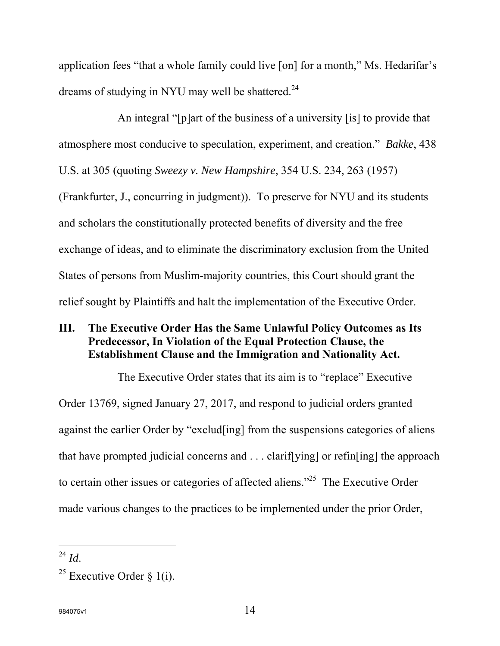application fees "that a whole family could live [on] for a month," Ms. Hedarifar's dreams of studying in NYU may well be shattered.<sup>24</sup>

An integral "[p]art of the business of a university [is] to provide that atmosphere most conducive to speculation, experiment, and creation." *Bakke*, 438 U.S. at 305 (quoting *Sweezy v. New Hampshire*, 354 U.S. 234, 263 (1957) (Frankfurter, J., concurring in judgment)). To preserve for NYU and its students and scholars the constitutionally protected benefits of diversity and the free exchange of ideas, and to eliminate the discriminatory exclusion from the United States of persons from Muslim-majority countries, this Court should grant the relief sought by Plaintiffs and halt the implementation of the Executive Order.

## **III. The Executive Order Has the Same Unlawful Policy Outcomes as Its Predecessor, In Violation of the Equal Protection Clause, the Establishment Clause and the Immigration and Nationality Act.**

The Executive Order states that its aim is to "replace" Executive Order 13769, signed January 27, 2017, and respond to judicial orders granted against the earlier Order by "exclud[ing] from the suspensions categories of aliens that have prompted judicial concerns and . . . clarif[ying] or refin[ing] the approach to certain other issues or categories of affected aliens."<sup>25</sup> The Executive Order made various changes to the practices to be implemented under the prior Order,

 $^{24}$  *Id*.

<sup>&</sup>lt;sup>25</sup> Executive Order  $\S$  1(i).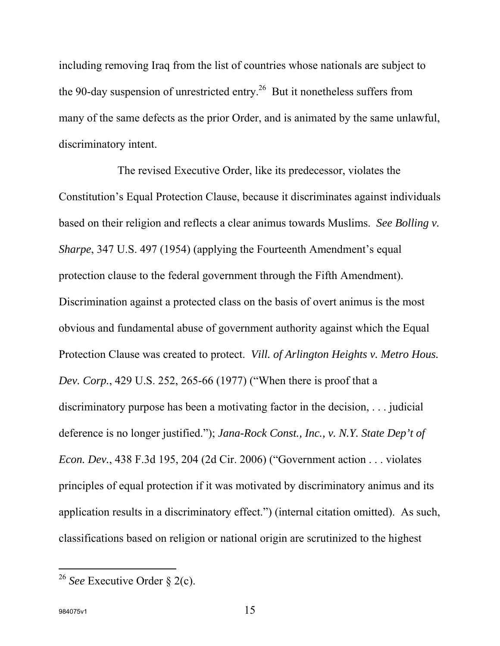including removing Iraq from the list of countries whose nationals are subject to the 90-day suspension of unrestricted entry.<sup>26</sup> But it nonetheless suffers from many of the same defects as the prior Order, and is animated by the same unlawful, discriminatory intent.

The revised Executive Order, like its predecessor, violates the Constitution's Equal Protection Clause, because it discriminates against individuals based on their religion and reflects a clear animus towards Muslims. *See Bolling v. Sharpe*, 347 U.S. 497 (1954) (applying the Fourteenth Amendment's equal protection clause to the federal government through the Fifth Amendment). Discrimination against a protected class on the basis of overt animus is the most obvious and fundamental abuse of government authority against which the Equal Protection Clause was created to protect. *Vill. of Arlington Heights v. Metro Hous. Dev. Corp.*, 429 U.S. 252, 265-66 (1977) ("When there is proof that a discriminatory purpose has been a motivating factor in the decision, . . . judicial deference is no longer justified."); *Jana-Rock Const., Inc., v. N.Y. State Dep't of Econ. Dev.*, 438 F.3d 195, 204 (2d Cir. 2006) ("Government action . . . violates principles of equal protection if it was motivated by discriminatory animus and its application results in a discriminatory effect.") (internal citation omitted). As such, classifications based on religion or national origin are scrutinized to the highest

<sup>26</sup> *See* Executive Order § 2(c).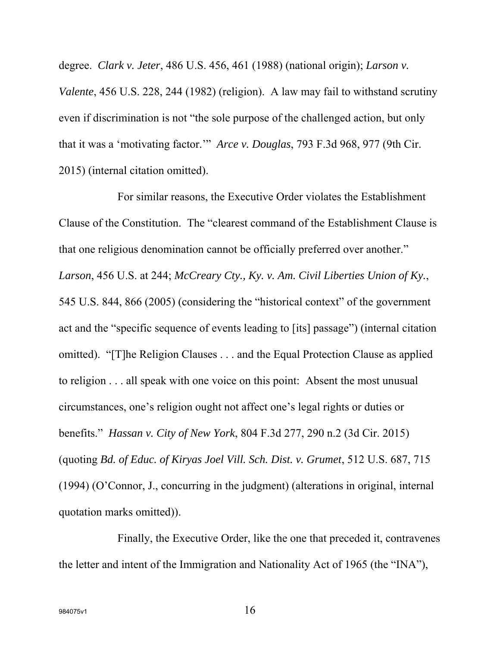degree. *Clark v. Jeter*, 486 U.S. 456, 461 (1988) (national origin); *Larson v. Valente*, 456 U.S. 228, 244 (1982) (religion). A law may fail to withstand scrutiny even if discrimination is not "the sole purpose of the challenged action, but only that it was a 'motivating factor.'" *Arce v. Douglas*, 793 F.3d 968, 977 (9th Cir. 2015) (internal citation omitted).

For similar reasons, the Executive Order violates the Establishment Clause of the Constitution. The "clearest command of the Establishment Clause is that one religious denomination cannot be officially preferred over another." *Larson*, 456 U.S. at 244; *McCreary Cty., Ky. v. Am. Civil Liberties Union of Ky.*, 545 U.S. 844, 866 (2005) (considering the "historical context" of the government act and the "specific sequence of events leading to [its] passage") (internal citation omitted). "[T]he Religion Clauses . . . and the Equal Protection Clause as applied to religion . . . all speak with one voice on this point: Absent the most unusual circumstances, one's religion ought not affect one's legal rights or duties or benefits." *Hassan v. City of New York*, 804 F.3d 277, 290 n.2 (3d Cir. 2015) (quoting *Bd. of Educ. of Kiryas Joel Vill. Sch. Dist. v. Grumet*, 512 U.S. 687, 715 (1994) (O'Connor, J., concurring in the judgment) (alterations in original, internal quotation marks omitted)).

Finally, the Executive Order, like the one that preceded it, contravenes the letter and intent of the Immigration and Nationality Act of 1965 (the "INA"),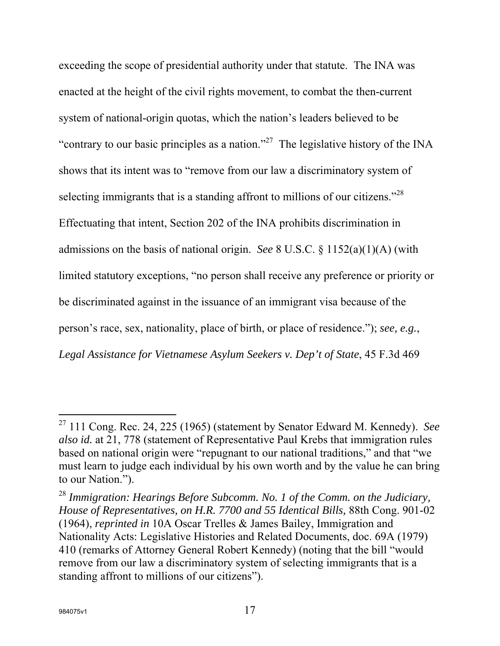exceeding the scope of presidential authority under that statute. The INA was enacted at the height of the civil rights movement, to combat the then-current system of national-origin quotas, which the nation's leaders believed to be "contrary to our basic principles as a nation."<sup>27</sup> The legislative history of the INA shows that its intent was to "remove from our law a discriminatory system of selecting immigrants that is a standing affront to millions of our citizens."<sup>28</sup> Effectuating that intent, Section 202 of the INA prohibits discrimination in admissions on the basis of national origin. *See* 8 U.S.C. § 1152(a)(1)(A) (with limited statutory exceptions, "no person shall receive any preference or priority or be discriminated against in the issuance of an immigrant visa because of the person's race, sex, nationality, place of birth, or place of residence."); *see, e.g.*, *Legal Assistance for Vietnamese Asylum Seekers v. Dep't of State*, 45 F.3d 469

<sup>27 111</sup> Cong. Rec. 24, 225 (1965) (statement by Senator Edward M. Kennedy). *See also id.* at 21, 778 (statement of Representative Paul Krebs that immigration rules based on national origin were "repugnant to our national traditions," and that "we must learn to judge each individual by his own worth and by the value he can bring to our Nation.").

<sup>28</sup> *Immigration: Hearings Before Subcomm. No. 1 of the Comm. on the Judiciary, House of Representatives, on H.R. 7700 and 55 Identical Bills,* 88th Cong. 901-02 (1964), *reprinted in* 10A Oscar Trelles & James Bailey, Immigration and Nationality Acts: Legislative Histories and Related Documents, doc. 69A (1979) 410 (remarks of Attorney General Robert Kennedy) (noting that the bill "would remove from our law a discriminatory system of selecting immigrants that is a standing affront to millions of our citizens").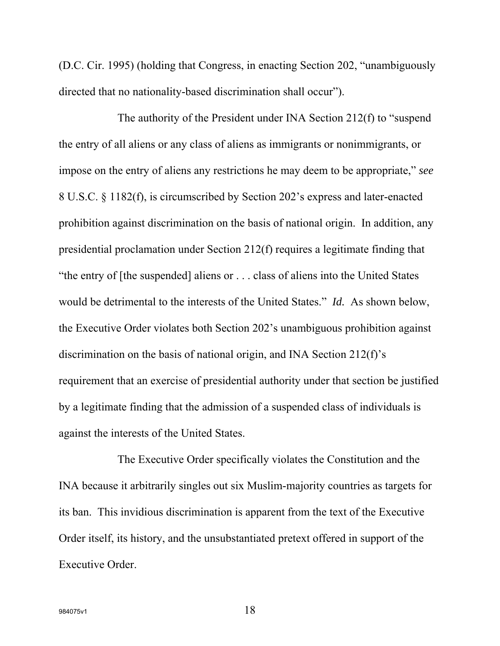(D.C. Cir. 1995) (holding that Congress, in enacting Section 202, "unambiguously directed that no nationality-based discrimination shall occur").

The authority of the President under INA Section 212(f) to "suspend the entry of all aliens or any class of aliens as immigrants or nonimmigrants, or impose on the entry of aliens any restrictions he may deem to be appropriate," *see* 8 U.S.C. § 1182(f), is circumscribed by Section 202's express and later-enacted prohibition against discrimination on the basis of national origin. In addition, any presidential proclamation under Section 212(f) requires a legitimate finding that "the entry of [the suspended] aliens or . . . class of aliens into the United States would be detrimental to the interests of the United States." *Id.* As shown below, the Executive Order violates both Section 202's unambiguous prohibition against discrimination on the basis of national origin, and INA Section 212(f)'s requirement that an exercise of presidential authority under that section be justified by a legitimate finding that the admission of a suspended class of individuals is against the interests of the United States.

The Executive Order specifically violates the Constitution and the INA because it arbitrarily singles out six Muslim-majority countries as targets for its ban. This invidious discrimination is apparent from the text of the Executive Order itself, its history, and the unsubstantiated pretext offered in support of the Executive Order.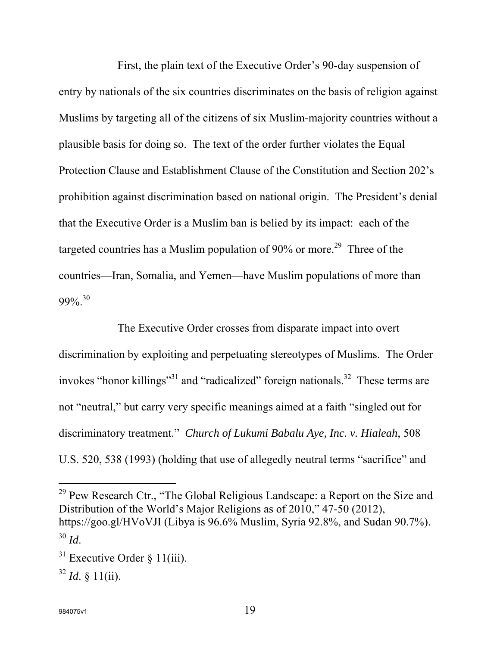First, the plain text of the Executive Order's 90-day suspension of entry by nationals of the six countries discriminates on the basis of religion against Muslims by targeting all of the citizens of six Muslim-majority countries without a plausible basis for doing so. The text of the order further violates the Equal Protection Clause and Establishment Clause of the Constitution and Section 202's prohibition against discrimination based on national origin. The President's denial that the Executive Order is a Muslim ban is belied by its impact: each of the targeted countries has a Muslim population of 90% or more.<sup>29</sup> Three of the countries—Iran, Somalia, and Yemen—have Muslim populations of more than  $99\%$ <sup>30</sup>

The Executive Order crosses from disparate impact into overt discrimination by exploiting and perpetuating stereotypes of Muslims. The Order invokes "honor killings"<sup>31</sup> and "radicalized" foreign nationals.<sup>32</sup> These terms are not "neutral," but carry very specific meanings aimed at a faith "singled out for discriminatory treatment." *Church of Lukumi Babalu Aye, Inc. v. Hialeah*, 508 U.S. 520, 538 (1993) (holding that use of allegedly neutral terms "sacrifice" and

<sup>29</sup> Pew Research Ctr., "The Global Religious Landscape: a Report on the Size and Distribution of the World's Major Religions as of 2010," 47-50 (2012), https://goo.gl/HVoVJI (Libya is 96.6% Muslim, Syria 92.8%, and Sudan 90.7%). <sup>30</sup> *Id*.

l

 $31$  Executive Order § 11(iii).

 $32$  *Id.* § 11(ii).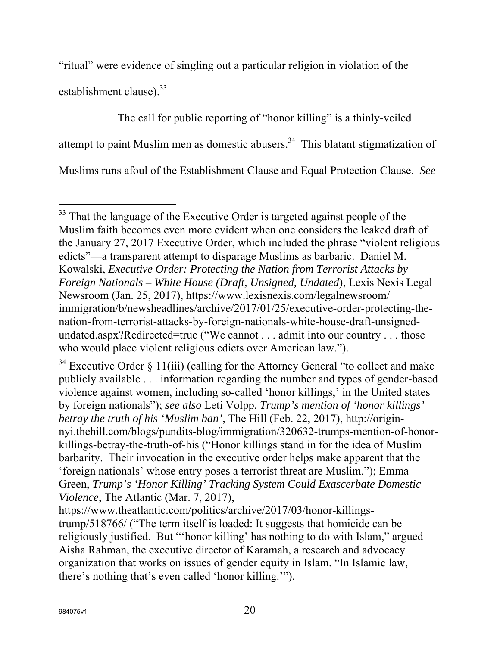"ritual" were evidence of singling out a particular religion in violation of the establishment clause). $33$ 

The call for public reporting of "honor killing" is a thinly-veiled attempt to paint Muslim men as domestic abusers.<sup>34</sup> This blatant stigmatization of Muslims runs afoul of the Establishment Clause and Equal Protection Clause. *See* 

 $\overline{a}$ <sup>33</sup> That the language of the Executive Order is targeted against people of the Muslim faith becomes even more evident when one considers the leaked draft of the January 27, 2017 Executive Order, which included the phrase "violent religious edicts"—a transparent attempt to disparage Muslims as barbaric. Daniel M. Kowalski, *Executive Order: Protecting the Nation from Terrorist Attacks by Foreign Nationals – White House (Draft, Unsigned, Undated*), Lexis Nexis Legal Newsroom (Jan. 25, 2017), https://www.lexisnexis.com/legalnewsroom/ immigration/b/newsheadlines/archive/2017/01/25/executive-order-protecting-thenation-from-terrorist-attacks-by-foreign-nationals-white-house-draft-unsignedundated.aspx?Redirected=true ("We cannot . . . admit into our country . . . those who would place violent religious edicts over American law.").

 $34$  Executive Order § 11(iii) (calling for the Attorney General "to collect and make publicly available . . . information regarding the number and types of gender-based violence against women, including so-called 'honor killings,' in the United states by foreign nationals"); *see also* Leti Volpp, *Trump's mention of 'honor killings' betray the truth of his 'Muslim ban'*, The Hill (Feb. 22, 2017), http://originnyi.thehill.com/blogs/pundits-blog/immigration/320632-trumps-mention-of-honorkillings-betray-the-truth-of-his ("Honor killings stand in for the idea of Muslim barbarity. Their invocation in the executive order helps make apparent that the 'foreign nationals' whose entry poses a terrorist threat are Muslim."); Emma Green, *Trump's 'Honor Killing' Tracking System Could Exascerbate Domestic Violence*, The Atlantic (Mar. 7, 2017),

https://www.theatlantic.com/politics/archive/2017/03/honor-killingstrump/518766/ ("The term itself is loaded: It suggests that homicide can be religiously justified. But "'honor killing' has nothing to do with Islam," argued Aisha Rahman, the executive director of Karamah, a research and advocacy organization that works on issues of gender equity in Islam. "In Islamic law, there's nothing that's even called 'honor killing.'").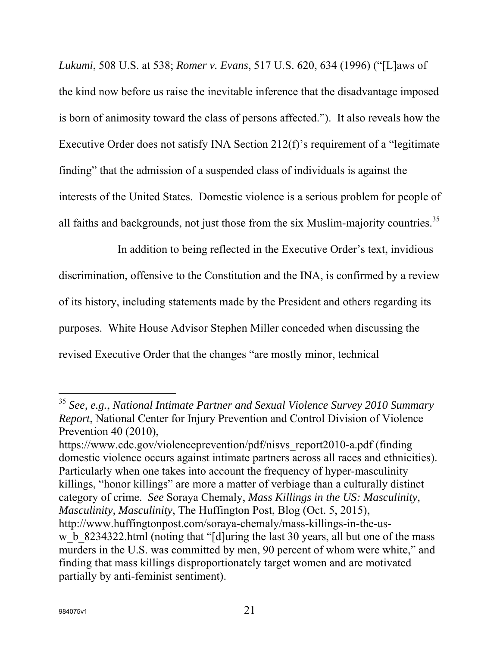*Lukumi*, 508 U.S. at 538; *Romer v. Evans*, 517 U.S. 620, 634 (1996) ("[L]aws of the kind now before us raise the inevitable inference that the disadvantage imposed is born of animosity toward the class of persons affected."). It also reveals how the Executive Order does not satisfy INA Section 212(f)'s requirement of a "legitimate finding" that the admission of a suspended class of individuals is against the interests of the United States. Domestic violence is a serious problem for people of all faiths and backgrounds, not just those from the six Muslim-majority countries.<sup>35</sup>

In addition to being reflected in the Executive Order's text, invidious discrimination, offensive to the Constitution and the INA, is confirmed by a review of its history, including statements made by the President and others regarding its purposes. White House Advisor Stephen Miller conceded when discussing the revised Executive Order that the changes "are mostly minor, technical

https://www.cdc.gov/violenceprevention/pdf/nisvs\_report2010-a.pdf (finding domestic violence occurs against intimate partners across all races and ethnicities). Particularly when one takes into account the frequency of hyper-masculinity killings, "honor killings" are more a matter of verbiage than a culturally distinct category of crime. *See* Soraya Chemaly, *Mass Killings in the US: Masculinity, Masculinity, Masculinity*, The Huffington Post, Blog (Oct. 5, 2015), http://www.huffingtonpost.com/soraya-chemaly/mass-killings-in-the-usw b 8234322.html (noting that "[d]uring the last 30 years, all but one of the mass murders in the U.S. was committed by men, 90 percent of whom were white," and finding that mass killings disproportionately target women and are motivated partially by anti-feminist sentiment).

<sup>35</sup> *See, e.g.*, *National Intimate Partner and Sexual Violence Survey 2010 Summary Report*, National Center for Injury Prevention and Control Division of Violence Prevention 40 (2010),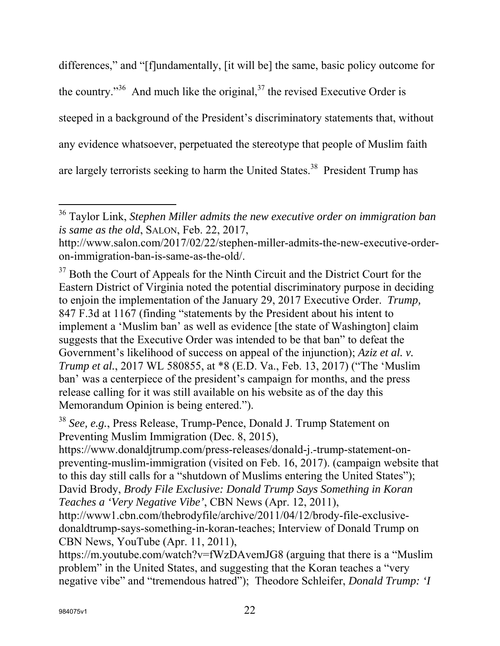differences," and "[f]undamentally, [it will be] the same, basic policy outcome for the country."<sup>36</sup> And much like the original, $^{37}$  the revised Executive Order is steeped in a background of the President's discriminatory statements that, without any evidence whatsoever, perpetuated the stereotype that people of Muslim faith are largely terrorists seeking to harm the United States.<sup>38</sup> President Trump has

https://www.donaldjtrump.com/press-releases/donald-j.-trump-statement-onpreventing-muslim-immigration (visited on Feb. 16, 2017). (campaign website that to this day still calls for a "shutdown of Muslims entering the United States"); David Brody, *Brody File Exclusive: Donald Trump Says Something in Koran Teaches a 'Very Negative Vibe'*, CBN News (Apr. 12, 2011),

http://www1.cbn.com/thebrodyfile/archive/2011/04/12/brody-file-exclusivedonaldtrump-says-something-in-koran-teaches; Interview of Donald Trump on CBN News, YouTube (Apr. 11, 2011),

https://m.youtube.com/watch?v=fWzDAvemJG8 (arguing that there is a "Muslim problem" in the United States, and suggesting that the Koran teaches a "very negative vibe" and "tremendous hatred"); Theodore Schleifer, *Donald Trump: 'I* 

<sup>36</sup> Taylor Link, *Stephen Miller admits the new executive order on immigration ban is same as the old*, SALON, Feb. 22, 2017,

http://www.salon.com/2017/02/22/stephen-miller-admits-the-new-executive-orderon-immigration-ban-is-same-as-the-old/.

<sup>&</sup>lt;sup>37</sup> Both the Court of Appeals for the Ninth Circuit and the District Court for the Eastern District of Virginia noted the potential discriminatory purpose in deciding to enjoin the implementation of the January 29, 2017 Executive Order. *Trump,*  847 F.3d at 1167 (finding "statements by the President about his intent to implement a 'Muslim ban' as well as evidence [the state of Washington] claim suggests that the Executive Order was intended to be that ban" to defeat the Government's likelihood of success on appeal of the injunction); *Aziz et al. v. Trump et al.*, 2017 WL 580855, at \*8 (E.D. Va., Feb. 13, 2017) ("The 'Muslim ban' was a centerpiece of the president's campaign for months, and the press release calling for it was still available on his website as of the day this Memorandum Opinion is being entered.").

<sup>38</sup> *See, e.g.*, Press Release, Trump-Pence, Donald J. Trump Statement on Preventing Muslim Immigration (Dec. 8, 2015),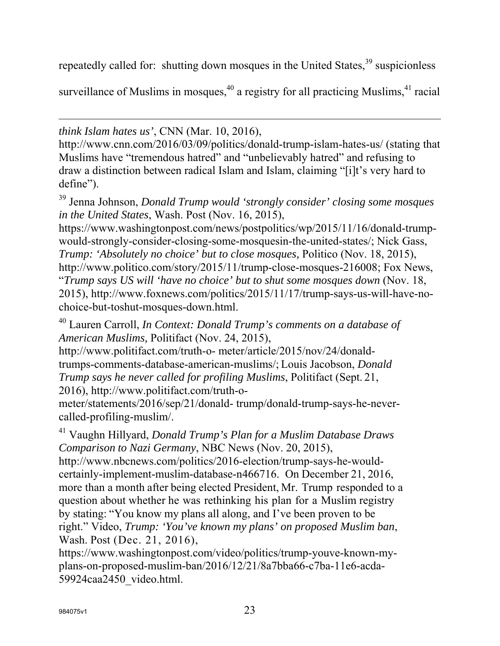repeatedly called for: shutting down mosques in the United States,  $39$  suspicionless

surveillance of Muslims in mosques,  $40$  a registry for all practicing Muslims,  $41$  racial

 $\overline{a}$ *think Islam hates us'*, CNN (Mar. 10, 2016),

http://www.cnn.com/2016/03/09/politics/donald-trump-islam-hates-us/ (stating that Muslims have "tremendous hatred" and "unbelievably hatred" and refusing to draw a distinction between radical Islam and Islam, claiming "[i]t's very hard to define").

39 Jenna Johnson, *Donald Trump would 'strongly consider' closing some mosques in the United States*, Wash. Post (Nov. 16, 2015),

https://www.washingtonpost.com/news/postpolitics/wp/2015/11/16/donald-trumpwould-strongly-consider-closing-some-mosquesin-the-united-states/; Nick Gass, *Trump: 'Absolutely no choice' but to close mosques, Politico (Nov. 18, 2015),* http://www.politico.com/story/2015/11/trump-close-mosques-216008; Fox News, "*Trump says US will 'have no choice' but to shut some mosques down* (Nov. 18, 2015), http://www.foxnews.com/politics/2015/11/17/trump-says-us-will-have-nochoice-but-toshut-mosques-down.html.

40 Lauren Carroll, *In Context: Donald Trump's comments on a database of American Muslims,* Politifact (Nov. 24, 2015),

http://www.politifact.com/truth-o- meter/article/2015/nov/24/donaldtrumps-comments-database-american-muslims/; Louis Jacobson, *Donald Trump says he never called for profiling Muslims*, Politifact (Sept. 21, 2016), http://www.politifact.com/truth-o-

meter/statements/2016/sep/21/donald- trump/donald-trump-says-he-nevercalled-profiling-muslim/.

41 Vaughn Hillyard, *Donald Trump's Plan for a Muslim Database Draws Comparison to Nazi Germany*, NBC News (Nov. 20, 2015),

http://www.nbcnews.com/politics/2016-election/trump-says-he-wouldcertainly-implement-muslim-database-n466716. On December 21, 2016, more than a month after being elected President, Mr. Trump responded to a question about whether he was rethinking his plan for a Muslim registry by stating: "You know my plans all along, and I've been proven to be right." Video, *Trump: 'You've known my plans' on proposed Muslim ban*, Wash. Post (Dec. 21, 2016),

https://www.washingtonpost.com/video/politics/trump-youve-known-myplans-on-proposed-muslim-ban/2016/12/21/8a7bba66-c7ba-11e6-acda-59924caa2450\_video.html.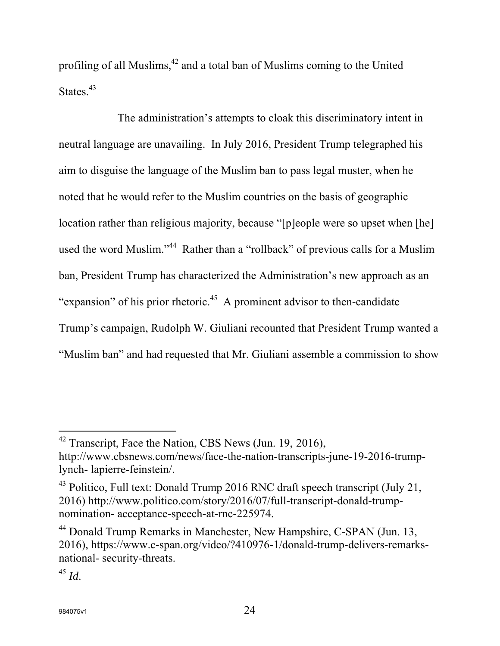profiling of all Muslims, $^{42}$  and a total ban of Muslims coming to the United States.<sup>43</sup>

The administration's attempts to cloak this discriminatory intent in neutral language are unavailing. In July 2016, President Trump telegraphed his aim to disguise the language of the Muslim ban to pass legal muster, when he noted that he would refer to the Muslim countries on the basis of geographic location rather than religious majority, because "[p]eople were so upset when [he] used the word Muslim."<sup>44</sup> Rather than a "rollback" of previous calls for a Muslim ban, President Trump has characterized the Administration's new approach as an "expansion" of his prior rhetoric.<sup>45</sup> A prominent advisor to then-candidate Trump's campaign, Rudolph W. Giuliani recounted that President Trump wanted a "Muslim ban" and had requested that Mr. Giuliani assemble a commission to show

<sup>&</sup>lt;sup>42</sup> Transcript, Face the Nation, CBS News (Jun. 19, 2016), http://www.cbsnews.com/news/face-the-nation-transcripts-june-19-2016-trumplynch- lapierre-feinstein/.

<sup>43</sup> Politico, Full text: Donald Trump 2016 RNC draft speech transcript (July 21, 2016) http://www.politico.com/story/2016/07/full-transcript-donald-trumpnomination- acceptance-speech-at-rnc-225974.

<sup>&</sup>lt;sup>44</sup> Donald Trump Remarks in Manchester, New Hampshire, C-SPAN (Jun. 13, 2016), https://www.c-span.org/video/?410976-1/donald-trump-delivers-remarksnational- security-threats.

 $^{45}$  *Id.*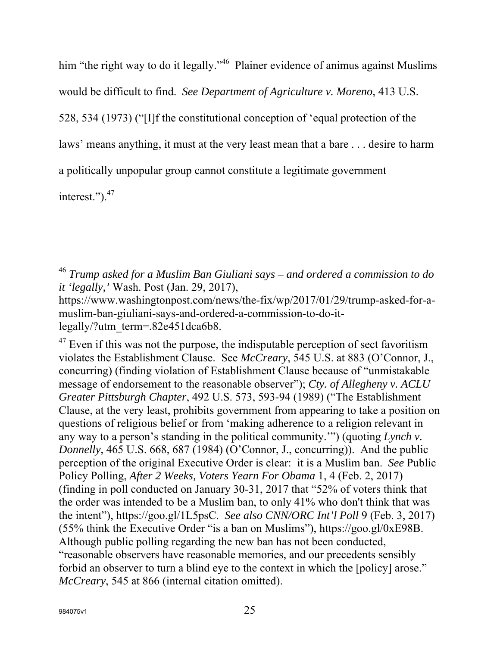him "the right way to do it legally."<sup>46</sup> Plainer evidence of animus against Muslims would be difficult to find. *See Department of Agriculture v. Moreno*, 413 U.S. 528, 534 (1973) ("[I]f the constitutional conception of 'equal protection of the laws' means anything, it must at the very least mean that a bare . . . desire to harm a politically unpopular group cannot constitute a legitimate government

interest.").<sup>47</sup>

 $47$  Even if this was not the purpose, the indisputable perception of sect favoritism violates the Establishment Clause. See *McCreary*, 545 U.S. at 883 (O'Connor, J., concurring) (finding violation of Establishment Clause because of "unmistakable message of endorsement to the reasonable observer"); *Cty. of Allegheny v. ACLU Greater Pittsburgh Chapter*, 492 U.S. 573, 593-94 (1989) ("The Establishment Clause, at the very least, prohibits government from appearing to take a position on questions of religious belief or from 'making adherence to a religion relevant in any way to a person's standing in the political community.'") (quoting *Lynch v. Donnelly*, 465 U.S. 668, 687 (1984) (O'Connor, J., concurring)). And the public perception of the original Executive Order is clear: it is a Muslim ban. *See* Public Policy Polling, *After 2 Weeks, Voters Yearn For Obama* 1, 4 (Feb. 2, 2017) (finding in poll conducted on January 30-31, 2017 that "52% of voters think that the order was intended to be a Muslim ban, to only 41% who don't think that was the intent"), https://goo.gl/1L5psC. *See also CNN/ORC Int'l Poll* 9 (Feb. 3, 2017) (55% think the Executive Order "is a ban on Muslims"), https://goo.gl/0xE98B. Although public polling regarding the new ban has not been conducted, "reasonable observers have reasonable memories, and our precedents sensibly forbid an observer to turn a blind eye to the context in which the [policy] arose." *McCreary*, 545 at 866 (internal citation omitted).

 $\overline{a}$ <sup>46</sup> *Trump asked for a Muslim Ban Giuliani says – and ordered a commission to do it 'legally,'* Wash. Post (Jan. 29, 2017),

https://www.washingtonpost.com/news/the-fix/wp/2017/01/29/trump-asked-for-amuslim-ban-giuliani-says-and-ordered-a-commission-to-do-itlegally/?utm\_term=.82e451dca6b8.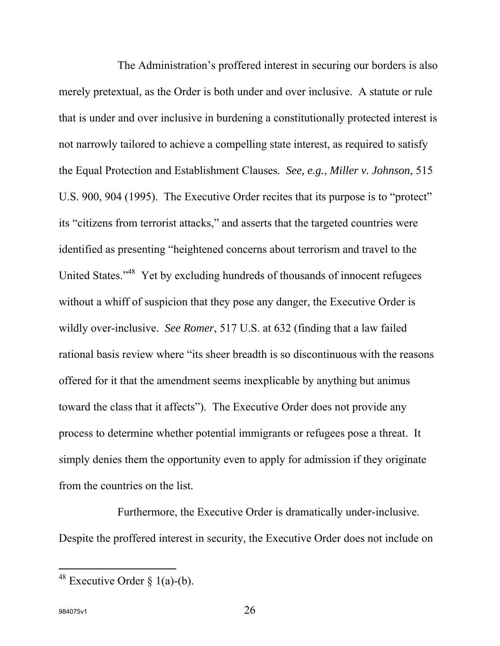The Administration's proffered interest in securing our borders is also merely pretextual, as the Order is both under and over inclusive. A statute or rule that is under and over inclusive in burdening a constitutionally protected interest is not narrowly tailored to achieve a compelling state interest, as required to satisfy the Equal Protection and Establishment Clauses. *See, e.g.*, *Miller v. Johnson*, 515 U.S. 900, 904 (1995). The Executive Order recites that its purpose is to "protect" its "citizens from terrorist attacks," and asserts that the targeted countries were identified as presenting "heightened concerns about terrorism and travel to the United States."<sup>48</sup> Yet by excluding hundreds of thousands of innocent refugees without a whiff of suspicion that they pose any danger, the Executive Order is wildly over-inclusive. *See Romer*, 517 U.S. at 632 (finding that a law failed rational basis review where "its sheer breadth is so discontinuous with the reasons offered for it that the amendment seems inexplicable by anything but animus toward the class that it affects"). The Executive Order does not provide any process to determine whether potential immigrants or refugees pose a threat. It simply denies them the opportunity even to apply for admission if they originate from the countries on the list.

Furthermore, the Executive Order is dramatically under-inclusive. Despite the proffered interest in security, the Executive Order does not include on

<sup>&</sup>lt;sup>48</sup> Executive Order  $\S$  1(a)-(b).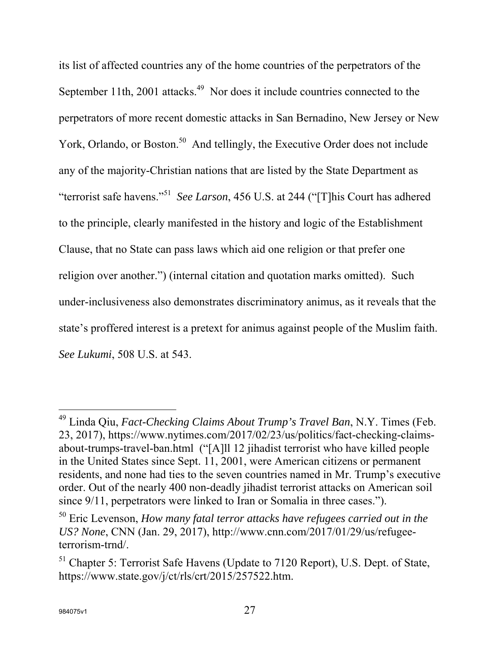its list of affected countries any of the home countries of the perpetrators of the September 11th, 2001 attacks.<sup>49</sup> Nor does it include countries connected to the perpetrators of more recent domestic attacks in San Bernadino, New Jersey or New York, Orlando, or Boston.<sup>50</sup> And tellingly, the Executive Order does not include any of the majority-Christian nations that are listed by the State Department as "terrorist safe havens."51 *See Larson*, 456 U.S. at 244 ("[T]his Court has adhered to the principle, clearly manifested in the history and logic of the Establishment Clause, that no State can pass laws which aid one religion or that prefer one religion over another.") (internal citation and quotation marks omitted). Such under-inclusiveness also demonstrates discriminatory animus, as it reveals that the state's proffered interest is a pretext for animus against people of the Muslim faith. *See Lukumi*, 508 U.S. at 543.

<sup>49</sup> Linda Qiu, *Fact-Checking Claims About Trump's Travel Ban*, N.Y. Times (Feb. 23, 2017), https://www.nytimes.com/2017/02/23/us/politics/fact-checking-claimsabout-trumps-travel-ban.html ("[A]ll 12 jihadist terrorist who have killed people in the United States since Sept. 11, 2001, were American citizens or permanent residents, and none had ties to the seven countries named in Mr. Trump's executive order. Out of the nearly 400 non-deadly jihadist terrorist attacks on American soil since 9/11, perpetrators were linked to Iran or Somalia in three cases.").

<sup>50</sup> Eric Levenson, *How many fatal terror attacks have refugees carried out in the US? None*, CNN (Jan. 29, 2017), http://www.cnn.com/2017/01/29/us/refugeeterrorism-trnd/.

 $<sup>51</sup>$  Chapter 5: Terrorist Safe Havens (Update to 7120 Report), U.S. Dept. of State,</sup> https://www.state.gov/j/ct/rls/crt/2015/257522.htm.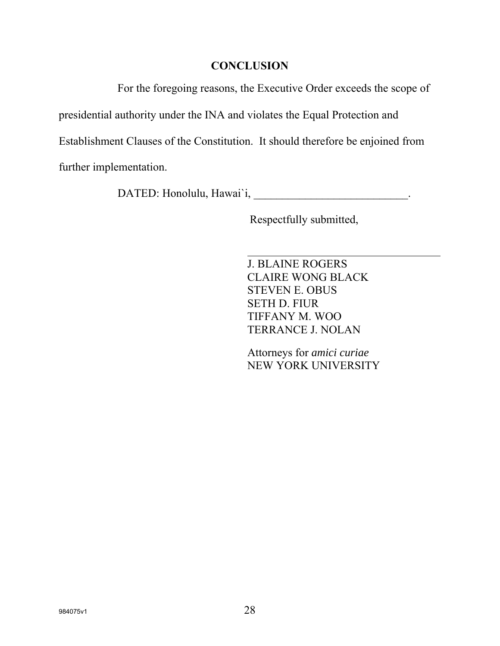### **CONCLUSION**

For the foregoing reasons, the Executive Order exceeds the scope of

presidential authority under the INA and violates the Equal Protection and

Establishment Clauses of the Constitution. It should therefore be enjoined from

further implementation.

DATED: Honolulu, Hawai`i, \_\_\_\_\_\_\_\_\_\_\_\_\_\_\_\_\_\_\_\_\_\_\_\_\_\_\_\_\_\_\_\_.

Respectfully submitted,

J. BLAINE ROGERS CLAIRE WONG BLACK STEVEN E. OBUS SETH D. FIUR TIFFANY M. WOO TERRANCE J. NOLAN

Attorneys for *amici curiae*  NEW YORK UNIVERSITY